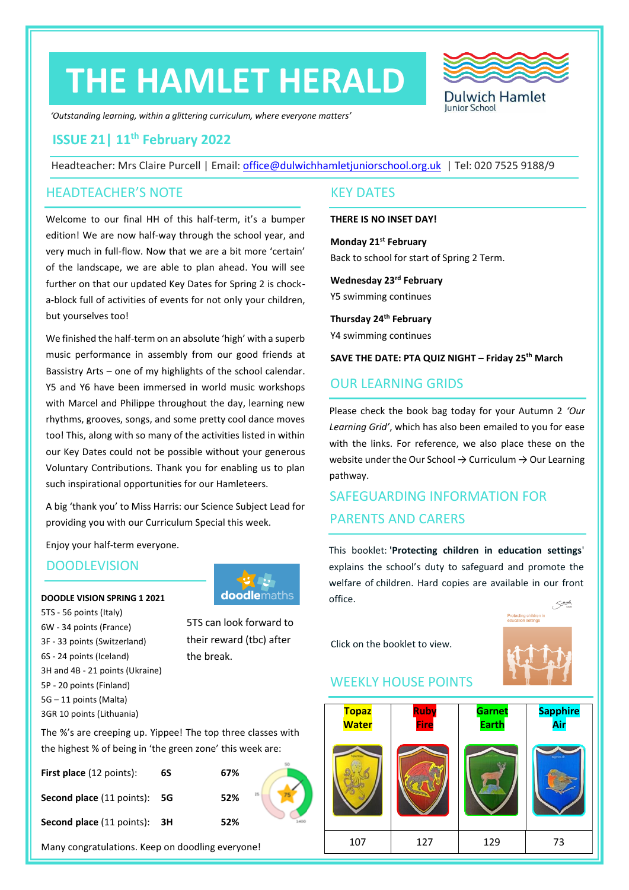# **THE HAMLET HERALD**



*'Outstanding learning, within a glittering curriculum, where everyone matters'*

# **ISSUE 21| 11th February 2022**

Headteacher: Mrs Claire Purcell | Email: [office@dulwichhamletjuniorschool.org.uk](mailto:office@dulwichhamletjuniorschool.org.uk) | Tel: 020 7525 9188/9

# HEADTEACHER'S NOTE KEY DATES

Welcome to our final HH of this half-term, it's a bumper edition! We are now half-way through the school year, and very much in full-flow. Now that we are a bit more 'certain' of the landscape, we are able to plan ahead. You will see further on that our updated Key Dates for Spring 2 is chocka-block full of activities of events for not only your children, but yourselves too!

We finished the half-term on an absolute 'high' with a superb music performance in assembly from our good friends at Bassistry Arts – one of my highlights of the school calendar. Y5 and Y6 have been immersed in world music workshops with Marcel and Philippe throughout the day, learning new rhythms, grooves, songs, and some pretty cool dance moves too! This, along with so many of the activities listed in within our Key Dates could not be possible without your generous Voluntary Contributions. Thank you for enabling us to plan such inspirational opportunities for our Hamleteers.

A big 'thank you' to Miss Harris: our Science Subject Lead for providing you with our Curriculum Special this week.

Enjoy your half-term everyone.

# **DOODLEVISION**

### **DOODLE VISION SPRING 1 2021**

5TS - 56 points (Italy) 6W - 34 points (France) 3F - 33 points (Switzerland) 6S - 24 points (Iceland) 3H and 4B - 21 points (Ukraine) 5P - 20 points (Finland) 5G – 11 points (Malta) 3GR 10 points (Lithuania)



5TS can look forward to their reward (tbc) after the break.

### **THERE IS NO INSET DAY!**

**Monday 21st February** Back to school for start of Spring 2 Term.

**Wednesday 23rd February** Y5 swimming continues

**Thursday 24th February** Y4 swimming continues

**SAVE THE DATE: PTA QUIZ NIGHT – Friday 25th March**

# OUR LEARNING GRIDS

Please check the book bag today for your Autumn 2 *'Our Learning Grid'*, which has also been emailed to you for ease with the links. For reference, we also place these on the website under the Our School  $\rightarrow$  Curriculum  $\rightarrow$  Our Learning pathway.

# SAFEGUARDING INFORMATION FOR PARENTS AND CARERS

This booklet: **'Protecting children in education settings**' explains the school's duty to safeguard and promote the welfare of children. Hard copies are available in our front office.

Click on the booklet to view.



# WEEKLY HOUSE POINTS

| <b>Topaz</b><br><b>Water</b> | Ruby<br><b>Fire</b> | <b>Garnet</b><br><b>Earth</b> | Sapphire<br><mark>Air</mark> |
|------------------------------|---------------------|-------------------------------|------------------------------|
|                              |                     |                               | Sapphire Air                 |
| 107                          | 127                 | 129                           | 73                           |

The %'s are creeping up. Yippee! The top three classes with the highest % of being in 'the green zone' this week are:

| <b>First place</b> (12 points):            | 6S | 67%       |
|--------------------------------------------|----|-----------|
| <b>Second place</b> (11 points): <b>5G</b> |    | 25<br>52% |
| <b>Second place (11 points): 3H</b>        |    | 52%       |

Many congratulations. Keep on doodling everyone!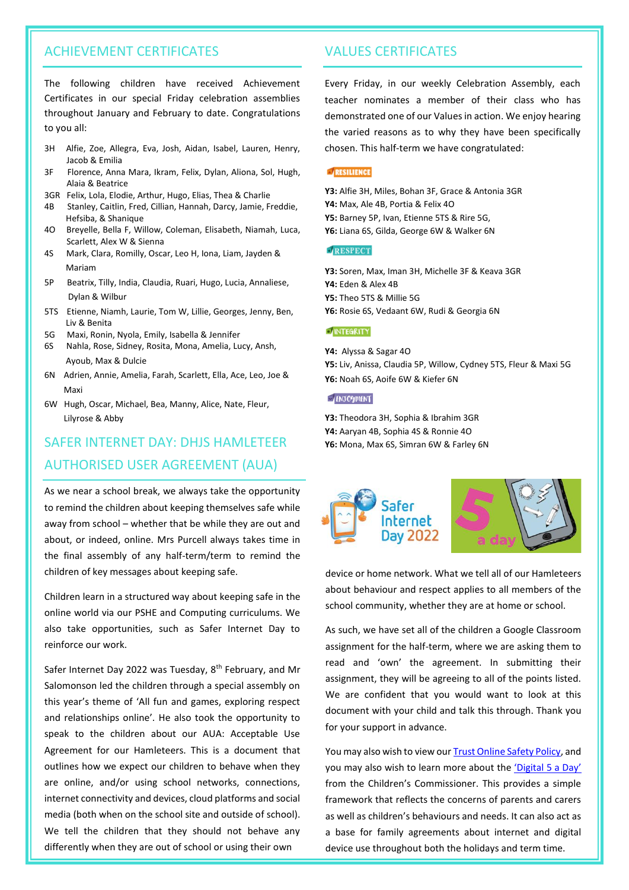# ACHIEVEMENT CERTIFICATES VALUES CERTIFICATES

The following children have received Achievement Certificates in our special Friday celebration assemblies throughout January and February to date. Congratulations to you all:

- 3H Alfie, Zoe, Allegra, Eva, Josh, Aidan, Isabel, Lauren, Henry, chosen. This half-term we have congratulated: Jacob & Emilia
- 3F Florence, Anna Mara, Ikram, Felix, Dylan, Aliona, Sol, Hugh, Alaia & Beatrice
- 3GR Felix, Lola, Elodie, Arthur, Hugo, Elias, Thea & Charlie
- 4B Stanley, Caitlin, Fred, Cillian, Hannah, Darcy, Jamie, Freddie, Hefsiba, & Shanique
- 4O Breyelle, Bella F, Willow, Coleman, Elisabeth, Niamah, Luca, Scarlett, Alex W & Sienna
- 4S Mark, Clara, Romilly, Oscar, Leo H, Iona, Liam, Jayden & Mariam
- 5P Beatrix, Tilly, India, Claudia, Ruari, Hugo, Lucia, Annaliese, Dylan & Wilbur
- 5TS Etienne, Niamh, Laurie, Tom W, Lillie, Georges, Jenny, Ben, Liv & Benita
- 5G Maxi, Ronin, Nyola, Emily, Isabella & Jennifer
- 6S Nahla, Rose, Sidney, Rosita, Mona, Amelia, Lucy, Ansh, Ayoub, Max & Dulcie
- 6N Adrien, Annie, Amelia, Farah, Scarlett, Ella, Ace, Leo, Joe & Maxi
- 6W Hugh, Oscar, Michael, Bea, Manny, Alice, Nate, Fleur, Lilyrose & Abby

# SAFER INTERNET DAY: DHJS HAMLETEER **Y6:** Mona, Max 6S, Simran 6W & Farley 6N AUTHORISED USER AGREEMENT (AUA)

As we near a school break, we always take the opportunity to remind the children about keeping themselves safe while away from school – whether that be while they are out and about, or indeed, online. Mrs Purcell always takes time in the final assembly of any half-term/term to remind the children of key messages about keeping safe.

Children learn in a structured way about keeping safe in the online world via our PSHE and Computing curriculums. We also take opportunities, such as Safer Internet Day to reinforce our work.

Safer Internet Day 2022 was Tuesday, 8<sup>th</sup> February, and Mr Salomonson led the children through a special assembly on this year's theme of 'All fun and games, exploring respect and relationships online'. He also took the opportunity to speak to the children about our AUA: Acceptable Use Agreement for our Hamleteers. This is a document that outlines how we expect our children to behave when they are online, and/or using school networks, connections, internet connectivity and devices, cloud platforms and social media (both when on the school site and outside of school). We tell the children that they should not behave any differently when they are out of school or using their own

Every Friday, in our weekly Celebration Assembly, each teacher nominates a member of their class who has demonstrated one of our Values in action. We enjoy hearing the varied reasons as to why they have been specifically

# RESILIENCE

**Y3:** Alfie 3H, Miles, Bohan 3F, Grace & Antonia 3GR **Y4:** Max, Ale 4B, Portia & Felix 4O **Y5:** Barney 5P, Ivan, Etienne 5TS & Rire 5G, **Y6:** Liana 6S, Gilda, George 6W & Walker 6N

#### RESPECT

**Y3:** Soren, Max, Iman 3H, Michelle 3F & Keava 3GR **Y4:** Eden & Alex 4B **Y5:** Theo 5TS & Millie 5G **Y6:** Rosie 6S, Vedaant 6W, Rudi & Georgia 6N

### **NTEGRITY**

**Y4:** Alyssa & Sagar 4O **Y5:** Liv, Anissa, Claudia 5P, Willow, Cydney 5TS, Fleur & Maxi 5G **Y6:** Noah 6S, Aoife 6W & Kiefer 6N

#### **ENJOYMENT**

**Y3:** Theodora 3H, Sophia & Ibrahim 3GR **Y4:** Aaryan 4B, Sophia 4S & Ronnie 4O



device or home network. What we tell all of our Hamleteers about behaviour and respect applies to all members of the school community, whether they are at home or school.

As such, we have set all of the children a Google Classroom assignment for the half-term, where we are asking them to read and 'own' the agreement. In submitting their assignment, they will be agreeing to all of the points listed. We are confident that you would want to look at this document with your child and talk this through. Thank you for your support in advance.

You may also wish to view our **Trust Online Safety Policy**, and you may also wish to learn more about the ['Digital 5 a Day'](https://www.childrenscommissioner.gov.uk/digital/5-a-day/) from the Children's Commissioner. This provides a simple framework that reflects the concerns of parents and carers as well as children's behaviours and needs. It can also act as a base for family agreements about internet and digital device use throughout both the holidays and term time.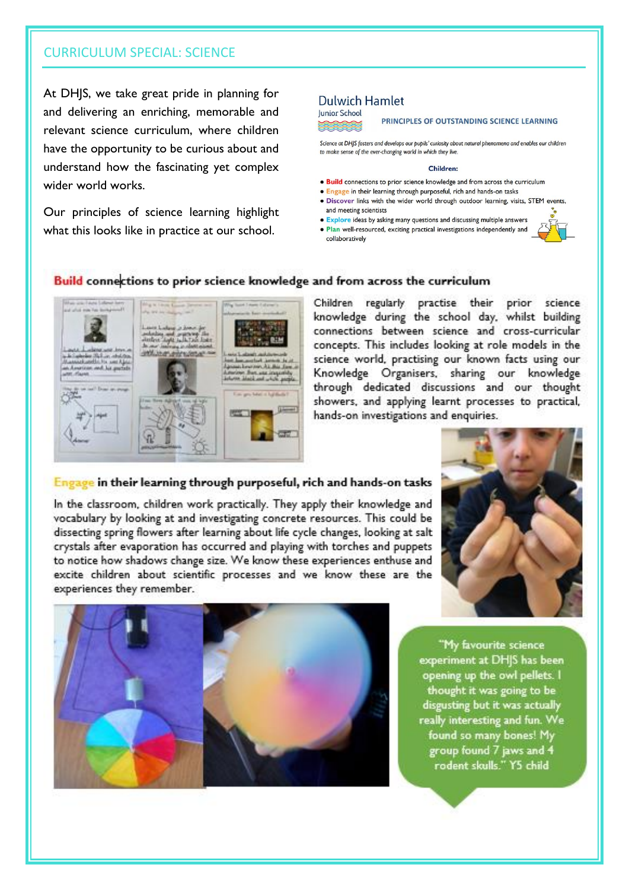# **CURRICULUM SPECIAL: SCIENCE**

At DHIS, we take great pride in planning for and delivering an enriching, memorable and relevant science curriculum, where children have the opportunity to be curious about and understand how the fascinating yet complex wider world works.

Our principles of science learning highlight what this looks like in practice at our school.

# **Dulwich Hamlet Junior School**

PRINCIPLES OF OUTSTANDING SCIENCE LEARNING

Science at DHIS fosters and develops our pupils' curiosity about natural phenomena and enables our children to make sense of the ever-changing world in which they live.

#### Children:

- . Build connections to prior science knowledge and from across the curriculum
- Engage in their learning through purposeful, rich and hands-on tasks
- · Discover links with the wider world through outdoor learning, visits, STEM events, and meeting scientists
- Explore ideas by asking many questions and discussing multiple answers . Plan well-resourced, exciting practical investigations independently and collaboratively

# Build connections to prior science knowledge and from across the curriculum



# Children regularly practise their prior science knowledge during the school day, whilst building connections between science and cross-curricular concepts. This includes looking at role models in the science world, practising our known facts using our Knowledge Organisers, sharing our knowledge through dedicated discussions and our thought showers, and applying learnt processes to practical, hands-on investigations and enquiries.

# Engage in their learning through purposeful, rich and hands-on tasks

In the classroom, children work practically. They apply their knowledge and vocabulary by looking at and investigating concrete resources. This could be dissecting spring flowers after learning about life cycle changes, looking at salt crystals after evaporation has occurred and playing with torches and puppets to notice how shadows change size. We know these experiences enthuse and excite children about scientific processes and we know these are the experiences they remember.





"My favourite science experiment at DH|S has been opening up the owl pellets. I thought it was going to be disgusting but it was actually really interesting and fun. We found so many bones! My group found 7 jaws and 4 rodent skulls." Y5 child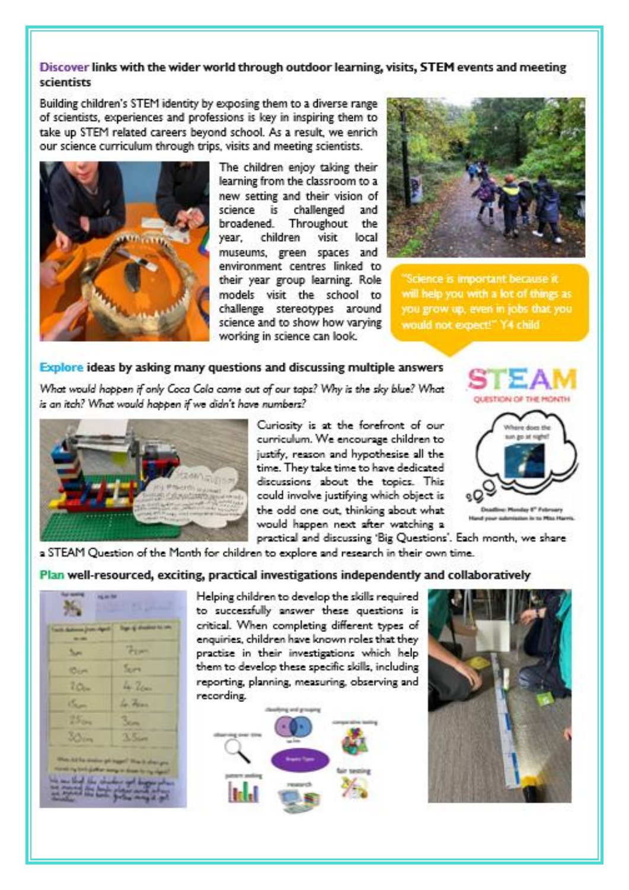# Discover links with the wider world through outdoor learning, visits, STEM events and meeting scientists

Building children's STEM identity by exposing them to a diverse range of scientists, experiences and professions is key in inspiring them to take up STEM related careers beyond school. As a result, we enrich our science curriculum through trips, visits and meeting scientists.



The children enjoy taking their learning from the classroom to a new setting and their vision of science is challenged and broadened. Throughout the year. children visit local museums, green spaces and environment centres linked to their year group learning. Role models visit the school to challenge stereotypes around science and to show how varying working in science can look.



Science is important because it will help you with a lot of things as you grow up, even in jobs that you would not expect!" Y4 child

# Explore ideas by asking many questions and discussing multiple answers

What would happen if only Coca Cola came out of our taps? Why is the sky blue? What is an itch? What would happen if we didn't have numbers?



Curiosity is at the forefront of our curriculum. We encourage children to justify, reason and hypothesise all the time. They take time to have dedicated discussions about the topics. This could involve justifying which object is the odd one out, thinking about what would happen next after watching a



practical and discussing 'Big Questions'. Each month, we share

a STEAM Question of the Month for children to explore and research in their own time.

Plan well-resourced, exciting, practical investigations independently and collaboratively

|                                                                                       | <b>ING AN INF</b><br><b>Children</b> |  |  |  |
|---------------------------------------------------------------------------------------|--------------------------------------|--|--|--|
| <b>Tach Automobile Print April</b><br>-                                               | Top of showing to the                |  |  |  |
| Sum                                                                                   | Them                                 |  |  |  |
| <b>IDom</b>                                                                           | Sun                                  |  |  |  |
| $20 -$                                                                                | La Zen                               |  |  |  |
| <b>Chair</b>                                                                          | La Frinc                             |  |  |  |
| 25 <sub>0<sub>m</sub></sub>                                                           | 3/2                                  |  |  |  |
| 30m                                                                                   | $3.5 -$                              |  |  |  |
| they he ha make go man! The it sharps                                                 |                                      |  |  |  |
| turns to be lighter weap in them for the right<br>the party of the party of the party |                                      |  |  |  |

Helping children to develop the skills required to successfully answer these questions is critical. When completing different types of enquiries, children have known roles that they practise in their investigations which help them to develop these specific skills, including reporting, planning, measuring, observing and recording.



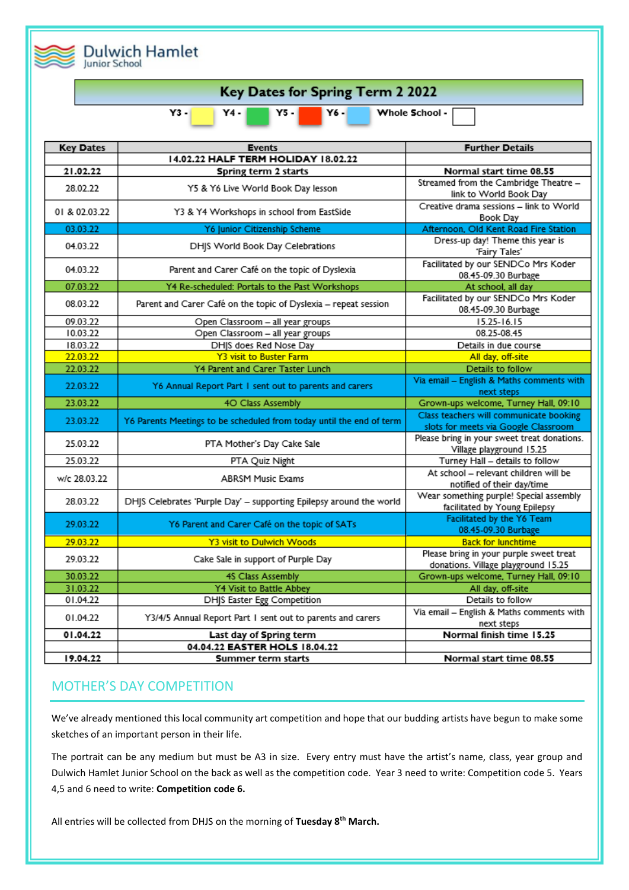|                      | <b>Dulwich Hamlet</b>                            |                                                                      |                                                                                 |  |  |  |
|----------------------|--------------------------------------------------|----------------------------------------------------------------------|---------------------------------------------------------------------------------|--|--|--|
| <b>Junior School</b> |                                                  |                                                                      |                                                                                 |  |  |  |
|                      | Key Dates for Spring Term 2 2022                 |                                                                      |                                                                                 |  |  |  |
|                      | $Y3 -$<br>Y6 -<br>Whole School -<br>Y4 -<br>Y5 - |                                                                      |                                                                                 |  |  |  |
|                      | <b>Key Dates</b>                                 | <b>Events</b>                                                        | <b>Further Details</b>                                                          |  |  |  |
|                      |                                                  | 14.02.22 HALF TERM HOLIDAY 18.02.22                                  |                                                                                 |  |  |  |
|                      | 21.02.22                                         | Spring term 2 starts                                                 | Normal start time 08.55                                                         |  |  |  |
|                      | 28.02.22                                         | Y5 & Y6 Live World Book Day lesson                                   | Streamed from the Cambridge Theatre -<br>link to World Book Day                 |  |  |  |
|                      | 01 & 02.03.22                                    | Y3 & Y4 Workshops in school from EastSide                            | Creative drama sessions - link to World<br>Book Day                             |  |  |  |
|                      | 03.03.22                                         | Y6 Junior Citizenship Scheme                                         | Afternoon, Old Kent Road Fire Station                                           |  |  |  |
|                      | 04.03.22                                         | DHJS World Book Day Celebrations                                     | Dress-up day! Theme this year is<br>'Fairy Tales'                               |  |  |  |
|                      | 04.03.22                                         | Parent and Carer Café on the topic of Dyslexia                       | Facilitated by our SENDCo Mrs Koder<br>08.45-09.30 Burbage                      |  |  |  |
|                      | 07.03.22                                         | Y4 Re-scheduled: Portals to the Past Workshops                       | At school, all day                                                              |  |  |  |
|                      | 08.03.22                                         | Parent and Carer Café on the topic of Dyslexia - repeat session      | Facilitated by our SENDCo Mrs Koder<br>08.45-09.30 Burbage                      |  |  |  |
|                      | 09.03.22                                         | Open Classroom - all year groups                                     | 15.25-16.15                                                                     |  |  |  |
|                      | 10.03.22                                         | Open Classroom - all year groups                                     | 08.25-08.45                                                                     |  |  |  |
|                      | 18.03.22                                         | DHJS does Red Nose Day                                               | Details in due course                                                           |  |  |  |
|                      | 22.03.22                                         | <b>Y3 visit to Buster Farm</b>                                       | All day, off-site                                                               |  |  |  |
|                      | 22.03.22                                         | Y4 Parent and Carer Taster Lunch                                     | Details to follow                                                               |  |  |  |
|                      | 22.03.22                                         | Y6 Annual Report Part 1 sent out to parents and carers               | Via email - English & Maths comments with<br>next steps                         |  |  |  |
|                      | 23.03.22                                         | 40 Class Assembly                                                    | Grown-ups welcome, Turney Hall, 09:10                                           |  |  |  |
|                      | 23.03.22                                         | Y6 Parents Meetings to be scheduled from today until the end of term | Class teachers will communicate booking<br>slots for meets via Google Classroom |  |  |  |
|                      | 25.03.22                                         | PTA Mother's Day Cake Sale                                           | Please bring in your sweet treat donations.<br>Village playground 15.25         |  |  |  |
|                      | 25.03.22                                         | PTA Quiz Night                                                       | Turney Hall - details to follow                                                 |  |  |  |
|                      | w/c 28.03.22                                     | <b>ABRSM Music Exams</b>                                             | At school - relevant children will be<br>notified of their day/time             |  |  |  |
|                      | 28.03.22                                         | DHIS Celebrates 'Purple Day' - supporting Epilepsy around the world  | Wear something purple! Special assembly<br>facilitated by Young Epilepsy        |  |  |  |
|                      | 29.03.22                                         | Y6 Parent and Carer Café on the topic of SATs                        | Facilitated by the Y6 Team<br>08.45-09.30 Burbage                               |  |  |  |
|                      | 29.03.22                                         | Y3 visit to Dulwich Woods                                            | <b>Back for lunchtime</b>                                                       |  |  |  |
|                      | 29.03.22                                         | Cake Sale in support of Purple Day                                   | Please bring in your purple sweet treat<br>donations. Village playground 15.25  |  |  |  |
|                      | 30.03.22                                         | <b>4S Class Assembly</b>                                             | Grown-ups welcome, Turney Hall, 09:10                                           |  |  |  |
|                      | 31.03.22                                         | Y4 Visit to Battle Abbey                                             | All day, off-site                                                               |  |  |  |
|                      | 01.04.22                                         | DHJS Easter Egg Competition                                          | Details to follow                                                               |  |  |  |
|                      | 01.04.22                                         | Y3/4/5 Annual Report Part I sent out to parents and carers           | Via email - English & Maths comments with<br>next steps                         |  |  |  |
|                      | 01.04.22                                         | Last day of Spring term                                              | Normal finish time 15.25                                                        |  |  |  |
|                      |                                                  | 04.04.22 EASTER HOLS 18.04.22                                        |                                                                                 |  |  |  |
|                      | 19.04.22                                         | Summer term starts                                                   | Normal start time 08.55                                                         |  |  |  |

# MOTHER'S DAY COMPETITION

We've already mentioned this local community art competition and hope that our budding artists have begun to make some sketches of an important person in their life.

The portrait can be any medium but must be A3 in size. Every entry must have the artist's name, class, year group and Dulwich Hamlet Junior School on the back as well as the competition code. Year 3 need to write: Competition code 5. Years 4,5 and 6 need to write: **Competition code 6.** 

All entries will be collected from DHJS on the morning of **Tuesday 8th March.**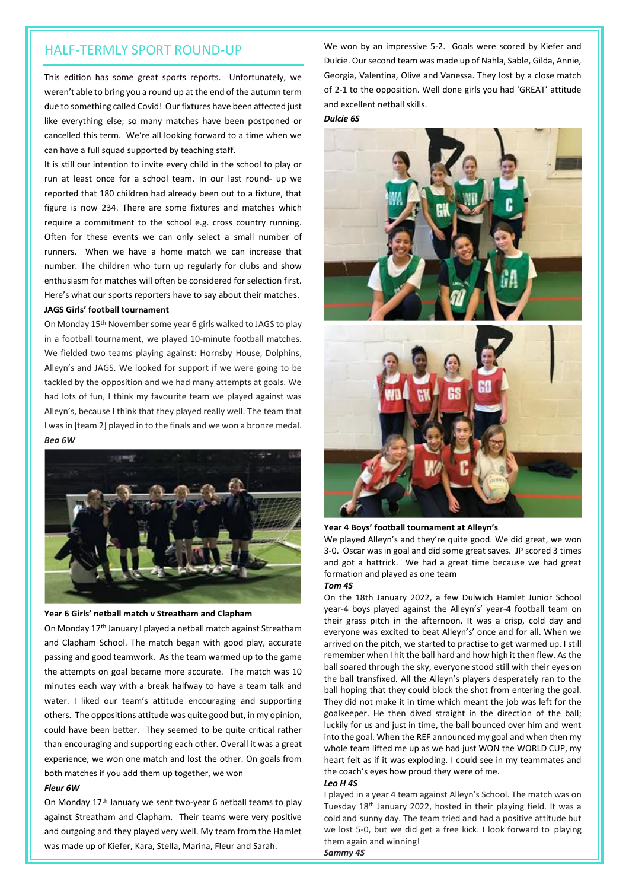This edition has some great sports reports. Unfortunately, we weren't able to bring you a round up at the end of the autumn term due to something called Covid! Our fixtures have been affected just like everything else; so many matches have been postponed or cancelled this term. We're all looking forward to a time when we can have a full squad supported by teaching staff.

It is still our intention to invite every child in the school to play or run at least once for a school team. In our last round- up we reported that 180 children had already been out to a fixture, that figure is now 234. There are some fixtures and matches which require a commitment to the school e.g. cross country running. Often for these events we can only select a small number of runners. When we have a home match we can increase that number. The children who turn up regularly for clubs and show enthusiasm for matches will often be considered for selection first. Here's what our sports reporters have to say about their matches.

# **JAGS Girls' football tournament**

On Monday 15th November some year 6 girls walked to JAGS to play in a football tournament, we played 10-minute football matches. We fielded two teams playing against: Hornsby House, Dolphins, Alleyn's and JAGS. We looked for support if we were going to be tackled by the opposition and we had many attempts at goals. We had lots of fun, I think my favourite team we played against was Alleyn's, because I think that they played really well. The team that I was in [team 2] played in to the finals and we won a bronze medal. *Bea 6W*



#### **Year 6 Girls' netball match v Streatham and Clapham**

On Monday 17<sup>th</sup> January I played a netball match against Streatham and Clapham School. The match began with good play, accurate passing and good teamwork. As the team warmed up to the game the attempts on goal became more accurate. The match was 10 minutes each way with a break halfway to have a team talk and water. I liked our team's attitude encouraging and supporting others. The oppositions attitude was quite good but, in my opinion, could have been better. They seemed to be quite critical rather than encouraging and supporting each other. Overall it was a great experience, we won one match and lost the other. On goals from both matches if you add them up together, we won

#### *Fleur 6W*

On Monday 17th January we sent two-year 6 netball teams to play against Streatham and Clapham. Their teams were very positive and outgoing and they played very well. My team from the Hamlet was made up of Kiefer, Kara, Stella, Marina, Fleur and Sarah.

HALF-TERMLY SPORT ROUND-UP We won by an impressive 5-2. Goals were scored by Kiefer and Dulcie. Our second team was made up of Nahla, Sable, Gilda, Annie, Georgia, Valentina, Olive and Vanessa. They lost by a close match of 2-1 to the opposition. Well done girls you had 'GREAT' attitude and excellent netball skills.

*Dulcie 6S*



# **Year 4 Boys' football tournament at Alleyn's**

We played Alleyn's and they're quite good. We did great, we won 3-0. Oscar was in goal and did some great saves. JP scored 3 times and got a hattrick. We had a great time because we had great formation and played as one team

#### *Tom 4S*

On the 18th January 2022, a few Dulwich Hamlet Junior School year-4 boys played against the Alleyn's' year-4 football team on their grass pitch in the afternoon. It was a crisp, cold day and everyone was excited to beat Alleyn's' once and for all. When we arrived on the pitch, we started to practise to get warmed up. I still remember when I hit the ball hard and how high it then flew. As the ball soared through the sky, everyone stood still with their eyes on the ball transfixed. All the Alleyn's players desperately ran to the ball hoping that they could block the shot from entering the goal. They did not make it in time which meant the job was left for the goalkeeper. He then dived straight in the direction of the ball; luckily for us and just in time, the ball bounced over him and went into the goal. When the REF announced my goal and when then my whole team lifted me up as we had just WON the WORLD CUP, my heart felt as if it was exploding. I could see in my teammates and the coach's eyes how proud they were of me.

#### *Leo H 4S*

I played in a year 4 team against Alleyn's School. The match was on Tuesday 18th January 2022, hosted in their playing field. It was a cold and sunny day. The team tried and had a positive attitude but we lost 5-0, but we did get a free kick. I look forward to playing them again and winning!

*Sammy 4S*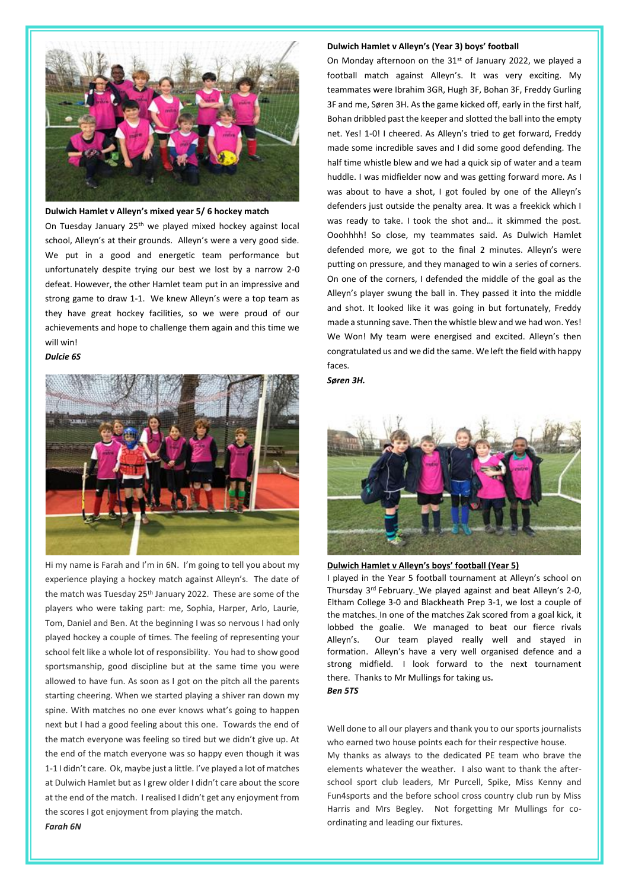

**Dulwich Hamlet v Alleyn's mixed year 5/ 6 hockey match**

On Tuesday January 25th we played mixed hockey against local school, Alleyn's at their grounds. Alleyn's were a very good side. We put in a good and energetic team performance but unfortunately despite trying our best we lost by a narrow 2-0 defeat. However, the other Hamlet team put in an impressive and strong game to draw 1-1. We knew Alleyn's were a top team as they have great hockey facilities, so we were proud of our achievements and hope to challenge them again and this time we will win!

#### *Dulcie 6S*



Hi my name is Farah and I'm in 6N. I'm going to tell you about my experience playing a hockey match against Alleyn's. The date of the match was Tuesday 25<sup>th</sup> January 2022. These are some of the players who were taking part: me, Sophia, Harper, Arlo, Laurie, Tom, Daniel and Ben. At the beginning I was so nervous I had only played hockey a couple of times. The feeling of representing your school felt like a whole lot of responsibility. You had to show good sportsmanship, good discipline but at the same time you were allowed to have fun. As soon as I got on the pitch all the parents starting cheering. When we started playing a shiver ran down my spine. With matches no one ever knows what's going to happen next but I had a good feeling about this one. Towards the end of the match everyone was feeling so tired but we didn't give up. At the end of the match everyone was so happy even though it was 1-1 I didn't care. Ok, maybe just a little. I've played a lot of matches at Dulwich Hamlet but as I grew older I didn't care about the score at the end of the match. I realised I didn't get any enjoyment from the scores I got enjoyment from playing the match.

#### **Dulwich Hamlet v Alleyn's (Year 3) boys' football**

On Monday afternoon on the 31<sup>st</sup> of January 2022, we played a football match against Alleyn's. It was very exciting. My teammates were Ibrahim 3GR, Hugh 3F, Bohan 3F, Freddy Gurling 3F and me, Søren 3H. As the game kicked off, early in the first half, Bohan dribbled past the keeper and slotted the ball into the empty net. Yes! 1-0! I cheered. As Alleyn's tried to get forward, Freddy made some incredible saves and I did some good defending. The half time whistle blew and we had a quick sip of water and a team huddle. I was midfielder now and was getting forward more. As I was about to have a shot, I got fouled by one of the Alleyn's defenders just outside the penalty area. It was a freekick which I was ready to take. I took the shot and… it skimmed the post. Ooohhhh! So close, my teammates said. As Dulwich Hamlet defended more, we got to the final 2 minutes. Alleyn's were putting on pressure, and they managed to win a series of corners. On one of the corners, I defended the middle of the goal as the Alleyn's player swung the ball in. They passed it into the middle and shot. It looked like it was going in but fortunately, Freddy made a stunning save. Then the whistle blew and we had won. Yes! We Won! My team were energised and excited. Alleyn's then congratulated us and we did the same. We left the field with happy faces.

*Søren 3H.*



#### **Dulwich Hamlet v Alleyn's boys' football (Year 5)**

I played in the Year 5 football tournament at Alleyn's school on Thursday 3rd February. We played against and beat Alleyn's 2-0, Eltham College 3-0 and Blackheath Prep 3-1, we lost a couple of the matches. In one of the matches Zak scored from a goal kick, it lobbed the goalie. We managed to beat our fierce rivals Alleyn's. Our team played really well and stayed in formation. Alleyn's have a very well organised defence and a strong midfield. I look forward to the next tournament there. Thanks to Mr Mullings for taking us*. Ben 5TS*

Well done to all our players and thank you to our sports journalists who earned two house points each for their respective house. My thanks as always to the dedicated PE team who brave the elements whatever the weather. I also want to thank the afterschool sport club leaders, Mr Purcell, Spike, Miss Kenny and Fun4sports and the before school cross country club run by Miss Harris and Mrs Begley. Not forgetting Mr Mullings for coordinating and leading our fixtures.

#### *Farah 6N*